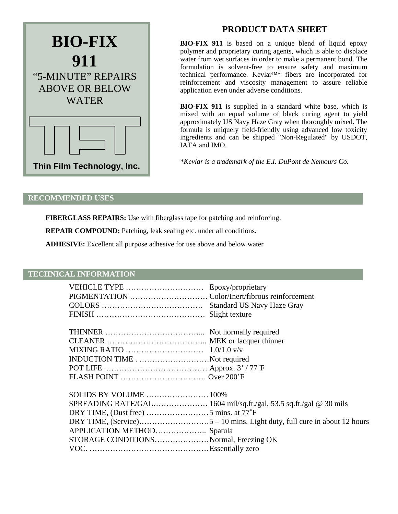

# **PRODUCT DATA SHEET**

**BIO-FIX 911** is based on a unique blend of liquid epoxy polymer and proprietary curing agents, which is able to displace water from wet surfaces in order to make a permanent bond. The formulation is solvent-free to ensure safety and maximum technical performance. Kevlar™\* fibers are incorporated for reinforcement and viscosity management to assure reliable application even under adverse conditions.

**BIO-FIX 911** is supplied in a standard white base, which is mixed with an equal volume of black curing agent to yield approximately US Navy Haze Gray when thoroughly mixed. The formula is uniquely field-friendly using advanced low toxicity ingredients and can be shipped "Non-Regulated" by USDOT, IATA and IMO.

*\*Kevlar is a trademark of the E.I. DuPont de Nemours Co.*

### **RECOMMENDED USES**

**FIBERGLASS REPAIRS:** Use with fiberglass tape for patching and reinforcing.

**REPAIR COMPOUND:** Patching, leak sealing etc. under all conditions.

**ADHESIVE:** Excellent all purpose adhesive for use above and below water

#### **TECHNICAL INFORMATION**

| VEHICLE TYPE  Epoxy/proprietary       |  |
|---------------------------------------|--|
|                                       |  |
|                                       |  |
|                                       |  |
|                                       |  |
|                                       |  |
|                                       |  |
| INDUCTION TIMENot required            |  |
|                                       |  |
|                                       |  |
| SOLIDS BY VOLUME  100%                |  |
|                                       |  |
| DRY TIME, (Dust free) 5 mins. at 77°F |  |
|                                       |  |
| APPLICATION METHOD Spatula            |  |
| STORAGE CONDITIONSNormal, Freezing OK |  |
|                                       |  |
|                                       |  |